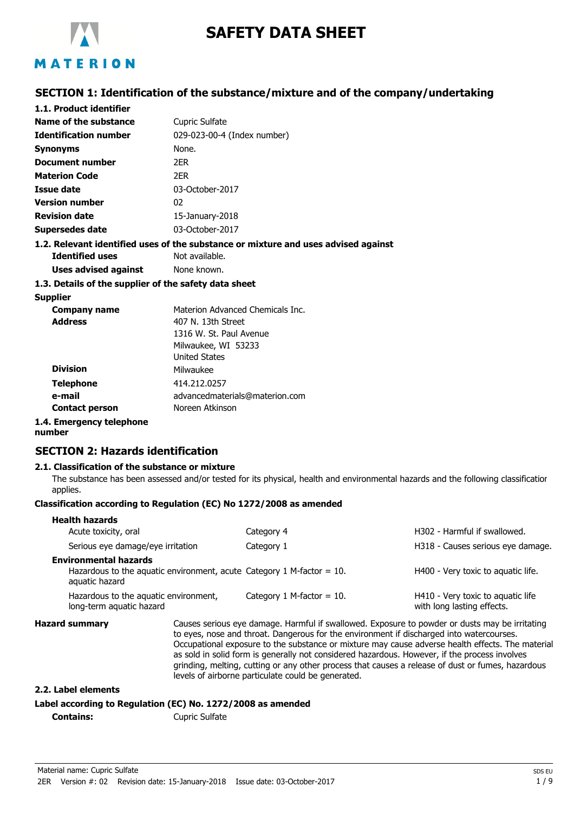

# **SAFETY DATA SHEET**

## **SECTION 1: Identification of the substance/mixture and of the company/undertaking**

| 1.1. Product identifier                               |                                                                                    |  |
|-------------------------------------------------------|------------------------------------------------------------------------------------|--|
| Name of the substance                                 | <b>Cupric Sulfate</b>                                                              |  |
| <b>Identification number</b>                          | 029-023-00-4 (Index number)                                                        |  |
| <b>Synonyms</b>                                       | None.                                                                              |  |
| <b>Document number</b>                                | 2ER                                                                                |  |
| <b>Materion Code</b>                                  | 2FR.                                                                               |  |
| Issue date                                            | 03-October-2017                                                                    |  |
| <b>Version number</b>                                 | 02                                                                                 |  |
| <b>Revision date</b>                                  | 15-January-2018                                                                    |  |
| <b>Supersedes date</b>                                | 03-October-2017                                                                    |  |
|                                                       | 1.2. Relevant identified uses of the substance or mixture and uses advised against |  |
| <b>Identified uses</b>                                | Not available.                                                                     |  |
| Uses advised against                                  | None known.                                                                        |  |
| 1.3. Details of the supplier of the safety data sheet |                                                                                    |  |
| <b>Supplier</b>                                       |                                                                                    |  |
| <b>Company name</b>                                   | Materion Advanced Chemicals Inc.                                                   |  |
| <b>Address</b>                                        | 407 N. 13th Street                                                                 |  |
|                                                       | 1316 W. St. Paul Avenue                                                            |  |
|                                                       | Milwaukee, WI 53233                                                                |  |
|                                                       | <b>United States</b>                                                               |  |
| <b>Division</b>                                       | Milwaukee                                                                          |  |
| <b>Telephone</b>                                      | 414.212.0257                                                                       |  |
| e-mail                                                | advancedmaterials@materion.com                                                     |  |
| <b>Contact person</b>                                 | Noreen Atkinson                                                                    |  |

## **1.4. Emergency telephone**

#### **number**

## **SECTION 2: Hazards identification**

#### **2.1. Classification of the substance or mixture**

The substance has been assessed and/or tested for its physical, health and environmental hazards and the following classification applies.

#### **Classification according to Regulation (EC) No 1272/2008 as amended**

| <b>Health hazards</b><br>Acute toxicity, oral                     | Category 4                                                                                                                                                                                                                                                                                     | H302 - Harmful if swallowed.                                    |
|-------------------------------------------------------------------|------------------------------------------------------------------------------------------------------------------------------------------------------------------------------------------------------------------------------------------------------------------------------------------------|-----------------------------------------------------------------|
| Serious eye damage/eye irritation                                 | Category 1                                                                                                                                                                                                                                                                                     | H318 - Causes serious eye damage.                               |
| <b>Environmental hazards</b><br>aquatic hazard                    | Hazardous to the aquatic environment, acute Category 1 M-factor = $10$ .                                                                                                                                                                                                                       | H400 - Very toxic to aquatic life.                              |
| Hazardous to the aguatic environment,<br>long-term aquatic hazard | Category 1 M-factor $= 10$ .                                                                                                                                                                                                                                                                   | H410 - Very toxic to aquatic life<br>with long lasting effects. |
| <b>Hazard summary</b>                                             | Causes serious eye damage. Harmful if swallowed. Exposure to powder or dusts may be irritating<br>to eyes, nose and throat. Dangerous for the environment if discharged into watercourses.<br>Occupational exposure to the substance or mixture may cause adverse health effects. The material |                                                                 |

Occupational exposure to the substance or mixture may cause adverse health effects. The material as sold in solid form is generally not considered hazardous. However, if the process involves grinding, melting, cutting or any other process that causes a release of dust or fumes, hazardous levels of airborne particulate could be generated.

#### **2.2. Label elements**

## **Label according to Regulation (EC) No. 1272/2008 as amended**

**Contains:** Cupric Sulfate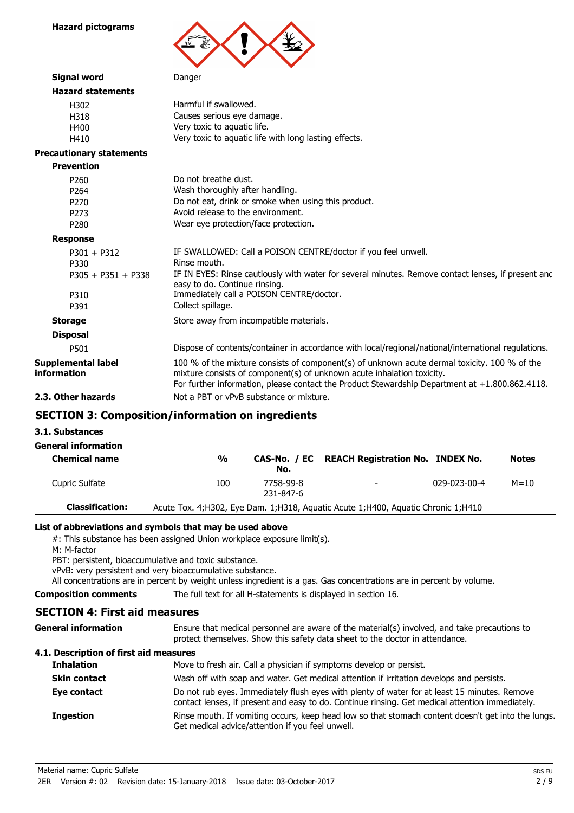**Hazard pictograms**



| Signal word                              | Danger                                                                                                                                                                                                                                                                   |
|------------------------------------------|--------------------------------------------------------------------------------------------------------------------------------------------------------------------------------------------------------------------------------------------------------------------------|
| <b>Hazard statements</b>                 |                                                                                                                                                                                                                                                                          |
| H302                                     | Harmful if swallowed.                                                                                                                                                                                                                                                    |
| H318                                     | Causes serious eye damage.                                                                                                                                                                                                                                               |
| H400                                     | Very toxic to aquatic life.                                                                                                                                                                                                                                              |
| H410                                     | Very toxic to aquatic life with long lasting effects.                                                                                                                                                                                                                    |
| <b>Precautionary statements</b>          |                                                                                                                                                                                                                                                                          |
| <b>Prevention</b>                        |                                                                                                                                                                                                                                                                          |
| P <sub>260</sub>                         | Do not breathe dust.                                                                                                                                                                                                                                                     |
| P <sub>264</sub>                         | Wash thoroughly after handling.                                                                                                                                                                                                                                          |
| P <sub>270</sub>                         | Do not eat, drink or smoke when using this product.                                                                                                                                                                                                                      |
| P <sub>273</sub>                         | Avoid release to the environment.                                                                                                                                                                                                                                        |
| P <sub>280</sub>                         | Wear eye protection/face protection.                                                                                                                                                                                                                                     |
| <b>Response</b>                          |                                                                                                                                                                                                                                                                          |
| $P301 + P312$                            | IF SWALLOWED: Call a POISON CENTRE/doctor if you feel unwell.                                                                                                                                                                                                            |
| P330                                     | Rinse mouth.                                                                                                                                                                                                                                                             |
| $P305 + P351 + P338$                     | IF IN EYES: Rinse cautiously with water for several minutes. Remove contact lenses, if present and<br>easy to do. Continue rinsing.                                                                                                                                      |
| P310                                     | Immediately call a POISON CENTRE/doctor.                                                                                                                                                                                                                                 |
| P391                                     | Collect spillage.                                                                                                                                                                                                                                                        |
| <b>Storage</b>                           | Store away from incompatible materials.                                                                                                                                                                                                                                  |
| <b>Disposal</b>                          |                                                                                                                                                                                                                                                                          |
| P501                                     | Dispose of contents/container in accordance with local/regional/national/international regulations.                                                                                                                                                                      |
| <b>Supplemental label</b><br>information | 100 % of the mixture consists of component(s) of unknown acute dermal toxicity. 100 % of the<br>mixture consists of component(s) of unknown acute inhalation toxicity.<br>For further information, please contact the Product Stewardship Department at +1.800.862.4118. |
| 2.3. Other hazards                       | Not a PBT or yPvB substance or mixture.                                                                                                                                                                                                                                  |

## **SECTION 3: Composition/information on ingredients**

**3.1. Substances**

| <b>General information</b> |  |
|----------------------------|--|
| Chemical name              |  |

| <b>Chemical name</b>   | $\frac{0}{0}$ | No.                    | CAS-No. / EC REACH Registration No. INDEX No.                                        |              | <b>Notes</b> |
|------------------------|---------------|------------------------|--------------------------------------------------------------------------------------|--------------|--------------|
| Cupric Sulfate         | 100           | 7758-99-8<br>231-847-6 |                                                                                      | 029-023-00-4 | $M = 10$     |
| <b>Classification:</b> |               |                        | Acute Tox. 4; H302, Eye Dam. 1; H318, Aguatic Acute 1; H400, Aguatic Chronic 1; H410 |              |              |

## **List of abbreviations and symbols that may be used above**

#: This substance has been assigned Union workplace exposure limit(s).

M: M-factor

PBT: persistent, bioaccumulative and toxic substance.

vPvB: very persistent and very bioaccumulative substance.

All concentrations are in percent by weight unless ingredient is a gas. Gas concentrations are in percent by volume.

**General information**

**Composition comments** The full text for all H-statements is displayed in section 16.

## **SECTION 4: First aid measures**

Ensure that medical personnel are aware of the material(s) involved, and take precautions to protect themselves. Show this safety data sheet to the doctor in attendance.

## **4.1. Description of first aid measures**

| <b>Inhalation</b>   | Move to fresh air. Call a physician if symptoms develop or persist.                                                                                                                             |
|---------------------|-------------------------------------------------------------------------------------------------------------------------------------------------------------------------------------------------|
| <b>Skin contact</b> | Wash off with soap and water. Get medical attention if irritation develops and persists.                                                                                                        |
| Eye contact         | Do not rub eyes. Immediately flush eyes with plenty of water for at least 15 minutes. Remove<br>contact lenses, if present and easy to do. Continue rinsing. Get medical attention immediately. |
| <b>Ingestion</b>    | Rinse mouth. If vomiting occurs, keep head low so that stomach content doesn't get into the lungs.<br>Get medical advice/attention if you feel unwell.                                          |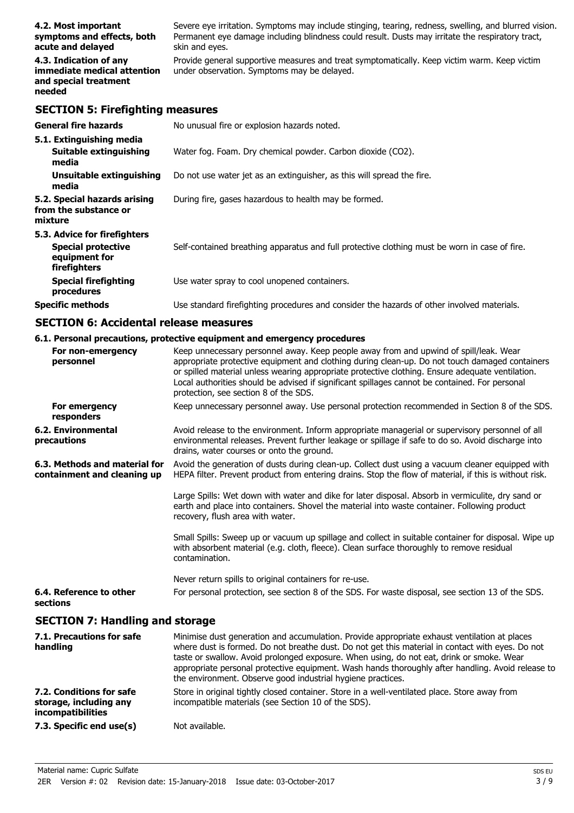| 4.2. Most important                                                                      | Severe eye irritation. Symptoms may include stinging, tearing, redness, swelling, and blurred vision.                                       |
|------------------------------------------------------------------------------------------|---------------------------------------------------------------------------------------------------------------------------------------------|
| symptoms and effects, both                                                               | Permanent eye damage including blindness could result. Dusts may irritate the respiratory tract,                                            |
| acute and delayed                                                                        | skin and eyes.                                                                                                                              |
| 4.3. Indication of any<br>immediate medical attention<br>and special treatment<br>needed | Provide general supportive measures and treat symptomatically. Keep victim warm. Keep victim<br>under observation. Symptoms may be delayed. |

## **SECTION 5: Firefighting measures**

| <b>General fire hazards</b>                                                                | No unusual fire or explosion hazards noted.                                                   |
|--------------------------------------------------------------------------------------------|-----------------------------------------------------------------------------------------------|
| 5.1. Extinguishing media<br><b>Suitable extinguishing</b><br>media                         | Water fog. Foam. Dry chemical powder. Carbon dioxide (CO2).                                   |
| Unsuitable extinguishing<br>media                                                          | Do not use water jet as an extinguisher, as this will spread the fire.                        |
| 5.2. Special hazards arising<br>from the substance or<br>mixture                           | During fire, gases hazardous to health may be formed.                                         |
| 5.3. Advice for firefighters<br><b>Special protective</b><br>equipment for<br>firefighters | Self-contained breathing apparatus and full protective clothing must be worn in case of fire. |
| <b>Special firefighting</b><br>procedures                                                  | Use water spray to cool unopened containers.                                                  |
| <b>Specific methods</b>                                                                    | Use standard firefighting procedures and consider the hazards of other involved materials.    |

## **SECTION 6: Accidental release measures**

## **6.1. Personal precautions, protective equipment and emergency procedures**

| For non-emergency<br>personnel                                                 | Keep unnecessary personnel away. Keep people away from and upwind of spill/leak. Wear<br>appropriate protective equipment and clothing during clean-up. Do not touch damaged containers<br>or spilled material unless wearing appropriate protective clothing. Ensure adequate ventilation.<br>Local authorities should be advised if significant spillages cannot be contained. For personal<br>protection, see section 8 of the SDS.                           |
|--------------------------------------------------------------------------------|------------------------------------------------------------------------------------------------------------------------------------------------------------------------------------------------------------------------------------------------------------------------------------------------------------------------------------------------------------------------------------------------------------------------------------------------------------------|
| For emergency<br>responders                                                    | Keep unnecessary personnel away. Use personal protection recommended in Section 8 of the SDS.                                                                                                                                                                                                                                                                                                                                                                    |
| 6.2. Environmental<br>precautions                                              | Avoid release to the environment. Inform appropriate managerial or supervisory personnel of all<br>environmental releases. Prevent further leakage or spillage if safe to do so. Avoid discharge into<br>drains, water courses or onto the ground.                                                                                                                                                                                                               |
| 6.3. Methods and material for<br>containment and cleaning up                   | Avoid the generation of dusts during clean-up. Collect dust using a vacuum cleaner equipped with<br>HEPA filter. Prevent product from entering drains. Stop the flow of material, if this is without risk.                                                                                                                                                                                                                                                       |
|                                                                                | Large Spills: Wet down with water and dike for later disposal. Absorb in vermiculite, dry sand or<br>earth and place into containers. Shovel the material into waste container. Following product<br>recovery, flush area with water.                                                                                                                                                                                                                            |
|                                                                                | Small Spills: Sweep up or vacuum up spillage and collect in suitable container for disposal. Wipe up<br>with absorbent material (e.g. cloth, fleece). Clean surface thoroughly to remove residual<br>contamination.                                                                                                                                                                                                                                              |
|                                                                                | Never return spills to original containers for re-use.                                                                                                                                                                                                                                                                                                                                                                                                           |
| 6.4. Reference to other<br>sections                                            | For personal protection, see section 8 of the SDS. For waste disposal, see section 13 of the SDS.                                                                                                                                                                                                                                                                                                                                                                |
| <b>SECTION 7: Handling and storage</b>                                         |                                                                                                                                                                                                                                                                                                                                                                                                                                                                  |
| 7.1. Precautions for safe<br>handling                                          | Minimise dust generation and accumulation. Provide appropriate exhaust ventilation at places<br>where dust is formed. Do not breathe dust. Do not get this material in contact with eyes. Do not<br>taste or swallow. Avoid prolonged exposure. When using, do not eat, drink or smoke. Wear<br>appropriate personal protective equipment. Wash hands thoroughly after handling. Avoid release to<br>the environment. Observe good industrial hygiene practices. |
| 7.2. Conditions for safe<br>storage, including any<br><i>incompatibilities</i> | Store in original tightly closed container. Store in a well-ventilated place. Store away from<br>incompatible materials (see Section 10 of the SDS).                                                                                                                                                                                                                                                                                                             |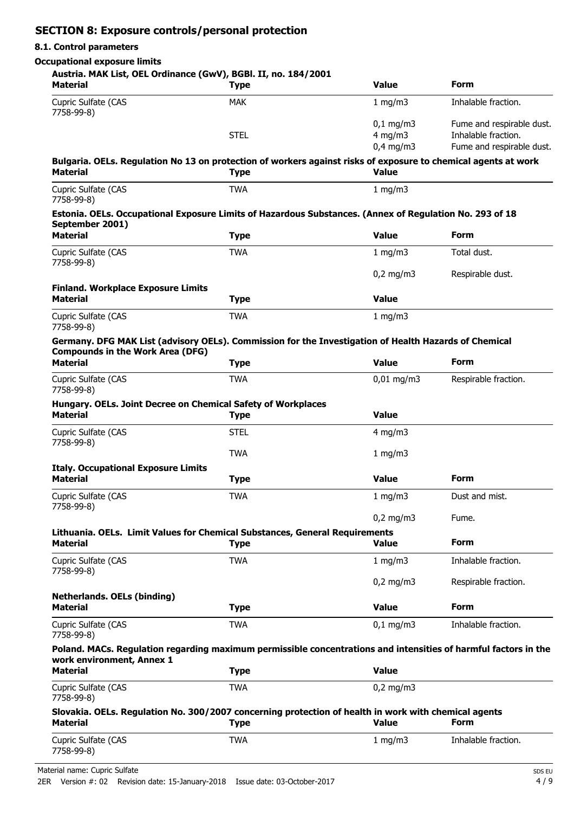## **SECTION 8: Exposure controls/personal protection**

#### **8.1. Control parameters**

### **Occupational exposure limits**

## **Austria. MAK List, OEL Ordinance (GwV), BGBl. II, no. 184/2001**

| Material                                                                                                                                         | <b>Type</b> | <b>Value</b>           | Form                      |
|--------------------------------------------------------------------------------------------------------------------------------------------------|-------------|------------------------|---------------------------|
| Cupric Sulfate (CAS<br>7758-99-8)                                                                                                                | <b>MAK</b>  | 1 mg/m3                | Inhalable fraction.       |
|                                                                                                                                                  |             | $0,1$ mg/m3            | Fume and respirable dust. |
|                                                                                                                                                  | <b>STEL</b> | $4$ mg/m $3$           | Inhalable fraction.       |
|                                                                                                                                                  |             | $0.4$ mg/m3            | Fume and respirable dust. |
| Bulgaria. OELs. Regulation No 13 on protection of workers against risks of exposure to chemical agents at work<br><b>Material</b>                | <b>Type</b> | <b>Value</b>           |                           |
| Cupric Sulfate (CAS<br>7758-99-8)                                                                                                                | <b>TWA</b>  | 1 mg/m $3$             |                           |
| Estonia. OELs. Occupational Exposure Limits of Hazardous Substances. (Annex of Regulation No. 293 of 18<br>September 2001)                       |             |                        |                           |
| <b>Material</b>                                                                                                                                  | <b>Type</b> | <b>Value</b>           | Form                      |
| Cupric Sulfate (CAS<br>7758-99-8)                                                                                                                | <b>TWA</b>  | 1 mg/m3                | Total dust.               |
|                                                                                                                                                  |             | $0,2 \text{ mg/m}$     | Respirable dust.          |
| <b>Finland. Workplace Exposure Limits</b><br><b>Material</b>                                                                                     | <b>Type</b> | <b>Value</b>           |                           |
| Cupric Sulfate (CAS<br>7758-99-8)                                                                                                                | <b>TWA</b>  | 1 mg/m3                |                           |
| Germany. DFG MAK List (advisory OELs). Commission for the Investigation of Health Hazards of Chemical<br><b>Compounds in the Work Area (DFG)</b> |             |                        |                           |
| <b>Material</b>                                                                                                                                  | <b>Type</b> | <b>Value</b>           | <b>Form</b>               |
| Cupric Sulfate (CAS<br>7758-99-8)                                                                                                                | <b>TWA</b>  | $0,01 \,\mathrm{mg/m}$ | Respirable fraction.      |
| Hungary. OELs. Joint Decree on Chemical Safety of Workplaces<br><b>Material</b>                                                                  | <b>Type</b> | <b>Value</b>           |                           |
| Cupric Sulfate (CAS<br>7758-99-8)                                                                                                                | <b>STEL</b> | $4$ mg/m $3$           |                           |
|                                                                                                                                                  | <b>TWA</b>  | 1 mg/m3                |                           |
| <b>Italy. Occupational Exposure Limits</b>                                                                                                       |             |                        |                           |
| <b>Material</b>                                                                                                                                  | <b>Type</b> | <b>Value</b>           | Form                      |
| Cupric Sulfate (CAS<br>7758-99-8)                                                                                                                | <b>TWA</b>  | 1 mg/m $3$             | Dust and mist.            |
|                                                                                                                                                  |             | $0,2$ mg/m $3$         | Fume.                     |
| Lithuania. OELs. Limit Values for Chemical Substances, General Requirements                                                                      |             |                        |                           |
| <b>Material</b>                                                                                                                                  | <b>Type</b> | <b>Value</b>           | <b>Form</b>               |
| Cupric Sulfate (CAS<br>7758-99-8)                                                                                                                | <b>TWA</b>  | $1$ mg/m $3$           | Inhalable fraction.       |
|                                                                                                                                                  |             | $0,2$ mg/m3            | Respirable fraction.      |
| <b>Netherlands. OELs (binding)</b><br><b>Material</b>                                                                                            | <b>Type</b> | <b>Value</b>           | <b>Form</b>               |
| Cupric Sulfate (CAS<br>7758-99-8)                                                                                                                | <b>TWA</b>  | $0,1$ mg/m3            | Inhalable fraction.       |
| Poland. MACs. Regulation regarding maximum permissible concentrations and intensities of harmful factors in the<br>work environment, Annex 1     |             |                        |                           |
| <b>Material</b>                                                                                                                                  | <b>Type</b> | <b>Value</b>           |                           |
| Cupric Sulfate (CAS<br>7758-99-8)                                                                                                                | <b>TWA</b>  | $0,2$ mg/m3            |                           |
| Slovakia. OELs. Regulation No. 300/2007 concerning protection of health in work with chemical agents<br><b>Material</b>                          | <b>Type</b> | <b>Value</b>           | Form                      |
| Cupric Sulfate (CAS<br>7758-99-8)                                                                                                                | <b>TWA</b>  | 1 mg/m3                | Inhalable fraction.       |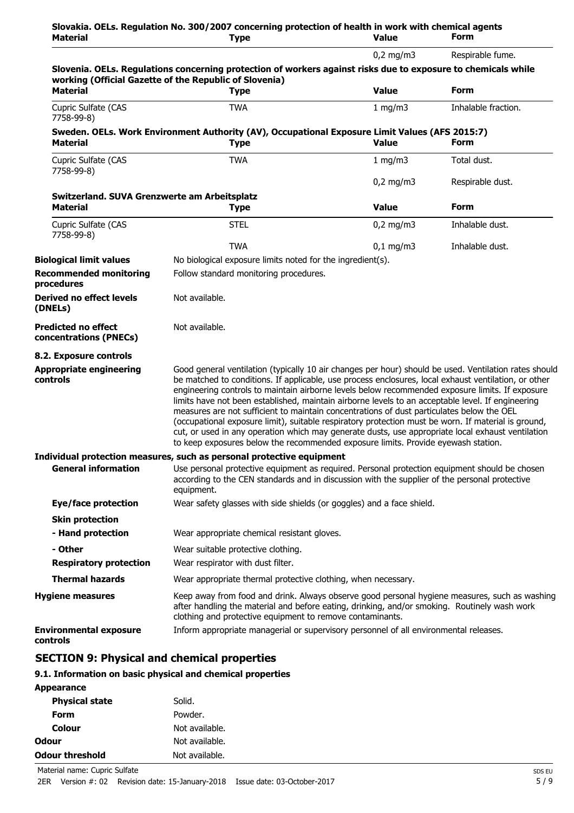| <b>Material</b>                                                 | Slovakia. OELs. Regulation No. 300/2007 concerning protection of health in work with chemical agents<br><b>Type</b>                                                                                                                                                                                                                                                                                                                                                                                                                                                                                                                                                                                                                                                                                                 | <b>Value</b> | <b>Form</b>         |
|-----------------------------------------------------------------|---------------------------------------------------------------------------------------------------------------------------------------------------------------------------------------------------------------------------------------------------------------------------------------------------------------------------------------------------------------------------------------------------------------------------------------------------------------------------------------------------------------------------------------------------------------------------------------------------------------------------------------------------------------------------------------------------------------------------------------------------------------------------------------------------------------------|--------------|---------------------|
|                                                                 |                                                                                                                                                                                                                                                                                                                                                                                                                                                                                                                                                                                                                                                                                                                                                                                                                     | $0,2$ mg/m3  | Respirable fume.    |
|                                                                 | Slovenia. OELs. Regulations concerning protection of workers against risks due to exposure to chemicals while<br>working (Official Gazette of the Republic of Slovenia)                                                                                                                                                                                                                                                                                                                                                                                                                                                                                                                                                                                                                                             |              |                     |
| <b>Material</b>                                                 | <b>Type</b>                                                                                                                                                                                                                                                                                                                                                                                                                                                                                                                                                                                                                                                                                                                                                                                                         | <b>Value</b> | <b>Form</b>         |
| Cupric Sulfate (CAS<br>7758-99-8)                               | <b>TWA</b>                                                                                                                                                                                                                                                                                                                                                                                                                                                                                                                                                                                                                                                                                                                                                                                                          | 1 mg/m3      | Inhalable fraction. |
| <b>Material</b>                                                 | Sweden. OELs. Work Environment Authority (AV), Occupational Exposure Limit Values (AFS 2015:7)<br><b>Type</b>                                                                                                                                                                                                                                                                                                                                                                                                                                                                                                                                                                                                                                                                                                       | <b>Value</b> | <b>Form</b>         |
| Cupric Sulfate (CAS<br>7758-99-8)                               | <b>TWA</b>                                                                                                                                                                                                                                                                                                                                                                                                                                                                                                                                                                                                                                                                                                                                                                                                          | 1 mg/m $3$   | Total dust.         |
|                                                                 |                                                                                                                                                                                                                                                                                                                                                                                                                                                                                                                                                                                                                                                                                                                                                                                                                     | $0,2$ mg/m3  | Respirable dust.    |
| Switzerland. SUVA Grenzwerte am Arbeitsplatz<br><b>Material</b> | <b>Type</b>                                                                                                                                                                                                                                                                                                                                                                                                                                                                                                                                                                                                                                                                                                                                                                                                         | <b>Value</b> | <b>Form</b>         |
| Cupric Sulfate (CAS<br>7758-99-8)                               | <b>STEL</b>                                                                                                                                                                                                                                                                                                                                                                                                                                                                                                                                                                                                                                                                                                                                                                                                         | $0,2$ mg/m3  | Inhalable dust.     |
|                                                                 | <b>TWA</b>                                                                                                                                                                                                                                                                                                                                                                                                                                                                                                                                                                                                                                                                                                                                                                                                          | $0,1$ mg/m3  | Inhalable dust.     |
| <b>Biological limit values</b>                                  | No biological exposure limits noted for the ingredient(s).                                                                                                                                                                                                                                                                                                                                                                                                                                                                                                                                                                                                                                                                                                                                                          |              |                     |
| <b>Recommended monitoring</b><br>procedures                     | Follow standard monitoring procedures.                                                                                                                                                                                                                                                                                                                                                                                                                                                                                                                                                                                                                                                                                                                                                                              |              |                     |
| <b>Derived no effect levels</b><br>(DNELs)                      | Not available.                                                                                                                                                                                                                                                                                                                                                                                                                                                                                                                                                                                                                                                                                                                                                                                                      |              |                     |
| <b>Predicted no effect</b><br>concentrations (PNECs)            | Not available.                                                                                                                                                                                                                                                                                                                                                                                                                                                                                                                                                                                                                                                                                                                                                                                                      |              |                     |
| 8.2. Exposure controls                                          |                                                                                                                                                                                                                                                                                                                                                                                                                                                                                                                                                                                                                                                                                                                                                                                                                     |              |                     |
| <b>Appropriate engineering</b><br>controls                      | Good general ventilation (typically 10 air changes per hour) should be used. Ventilation rates should<br>be matched to conditions. If applicable, use process enclosures, local exhaust ventilation, or other<br>engineering controls to maintain airborne levels below recommended exposure limits. If exposure<br>limits have not been established, maintain airborne levels to an acceptable level. If engineering<br>measures are not sufficient to maintain concentrations of dust particulates below the OEL<br>(occupational exposure limit), suitable respiratory protection must be worn. If material is ground,<br>cut, or used in any operation which may generate dusts, use appropriate local exhaust ventilation<br>to keep exposures below the recommended exposure limits. Provide eyewash station. |              |                     |
|                                                                 | Individual protection measures, such as personal protective equipment                                                                                                                                                                                                                                                                                                                                                                                                                                                                                                                                                                                                                                                                                                                                               |              |                     |
| <b>General information</b>                                      | Use personal protective equipment as required. Personal protection equipment should be chosen<br>according to the CEN standards and in discussion with the supplier of the personal protective<br>equipment.                                                                                                                                                                                                                                                                                                                                                                                                                                                                                                                                                                                                        |              |                     |
| <b>Eye/face protection</b>                                      | Wear safety glasses with side shields (or goggles) and a face shield.                                                                                                                                                                                                                                                                                                                                                                                                                                                                                                                                                                                                                                                                                                                                               |              |                     |
| <b>Skin protection</b>                                          |                                                                                                                                                                                                                                                                                                                                                                                                                                                                                                                                                                                                                                                                                                                                                                                                                     |              |                     |
| - Hand protection                                               | Wear appropriate chemical resistant gloves.                                                                                                                                                                                                                                                                                                                                                                                                                                                                                                                                                                                                                                                                                                                                                                         |              |                     |
| - Other                                                         | Wear suitable protective clothing.                                                                                                                                                                                                                                                                                                                                                                                                                                                                                                                                                                                                                                                                                                                                                                                  |              |                     |
| <b>Respiratory protection</b>                                   | Wear respirator with dust filter.                                                                                                                                                                                                                                                                                                                                                                                                                                                                                                                                                                                                                                                                                                                                                                                   |              |                     |
| <b>Thermal hazards</b>                                          | Wear appropriate thermal protective clothing, when necessary.                                                                                                                                                                                                                                                                                                                                                                                                                                                                                                                                                                                                                                                                                                                                                       |              |                     |
| <b>Hygiene measures</b>                                         | Keep away from food and drink. Always observe good personal hygiene measures, such as washing<br>after handling the material and before eating, drinking, and/or smoking. Routinely wash work<br>clothing and protective equipment to remove contaminants.                                                                                                                                                                                                                                                                                                                                                                                                                                                                                                                                                          |              |                     |
| <b>Environmental exposure</b><br>controls                       | Inform appropriate managerial or supervisory personnel of all environmental releases.                                                                                                                                                                                                                                                                                                                                                                                                                                                                                                                                                                                                                                                                                                                               |              |                     |

## **SECTION 9: Physical and chemical properties**

## **9.1. Information on basic physical and chemical properties**

| <b>Appearance</b>      |                |
|------------------------|----------------|
| <b>Physical state</b>  | Solid.         |
| Form                   | Powder.        |
| Colour                 | Not available. |
| Odour                  | Not available. |
| <b>Odour threshold</b> | Not available. |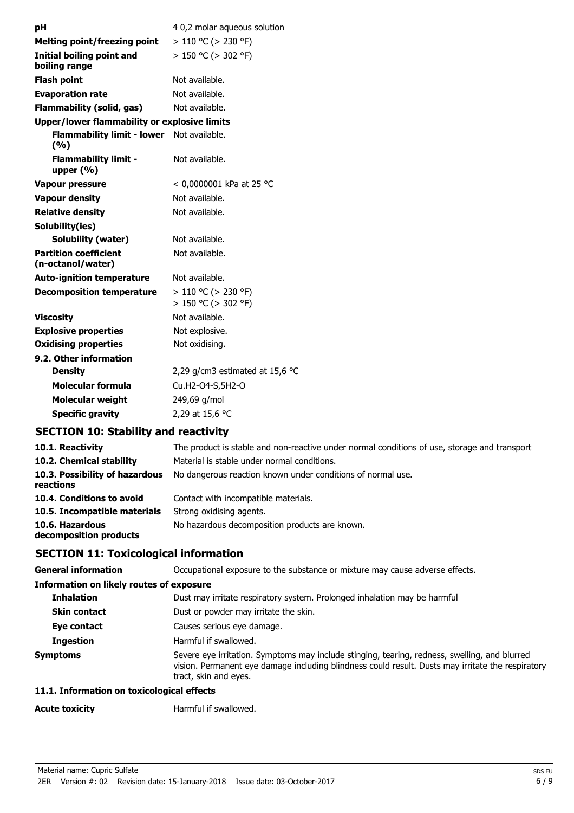| рH                                                  | 4 0,2 molar aqueous solution                         |  |  |
|-----------------------------------------------------|------------------------------------------------------|--|--|
| <b>Melting point/freezing point</b>                 | $> 110$ °C ( $> 230$ °F)                             |  |  |
| Initial boiling point and                           | $> 150$ °C ( $> 302$ °F)                             |  |  |
| boiling range                                       |                                                      |  |  |
| <b>Flash point</b>                                  | Not available.                                       |  |  |
| <b>Evaporation rate</b>                             | Not available.                                       |  |  |
| <b>Flammability (solid, gas)</b>                    | Not available.                                       |  |  |
| <b>Upper/lower flammability or explosive limits</b> |                                                      |  |  |
| <b>Flammability limit - lower</b><br>(%)            | Not available.                                       |  |  |
| <b>Flammability limit -</b><br>upper $(\% )$        | Not available.                                       |  |  |
| Vapour pressure                                     | < 0,0000001 kPa at 25 °C                             |  |  |
| <b>Vapour density</b>                               | Not available.                                       |  |  |
| <b>Relative density</b>                             | Not available.                                       |  |  |
| Solubility(ies)                                     |                                                      |  |  |
| <b>Solubility (water)</b>                           | Not available.                                       |  |  |
| <b>Partition coefficient</b><br>(n-octanol/water)   | Not available.                                       |  |  |
| <b>Auto-ignition temperature</b>                    | Not available.                                       |  |  |
| <b>Decomposition temperature</b>                    | $> 110$ °C ( $> 230$ °F)<br>$> 150$ °C ( $> 302$ °F) |  |  |
| <b>Viscosity</b>                                    | Not available.                                       |  |  |
| <b>Explosive properties</b>                         | Not explosive.                                       |  |  |
| <b>Oxidising properties</b>                         | Not oxidising.                                       |  |  |
| 9.2. Other information                              |                                                      |  |  |
| <b>Density</b>                                      | 2,29 g/cm3 estimated at 15,6 $^{\circ}$ C            |  |  |
| <b>Molecular formula</b>                            | Cu.H2-O4-S,5H2-O                                     |  |  |
| <b>Molecular weight</b>                             | 249,69 g/mol                                         |  |  |
| <b>Specific gravity</b>                             | 2,29 at 15,6 °C                                      |  |  |

## **SECTION 10: Stability and reactivity**

| 10.1. Reactivity                            | The product is stable and non-reactive under normal conditions of use, storage and transport. |
|---------------------------------------------|-----------------------------------------------------------------------------------------------|
| 10.2. Chemical stability                    | Material is stable under normal conditions.                                                   |
| 10.3. Possibility of hazardous<br>reactions | No dangerous reaction known under conditions of normal use.                                   |
| 10.4. Conditions to avoid                   | Contact with incompatible materials.                                                          |
| 10.5. Incompatible materials                | Strong oxidising agents.                                                                      |
| 10.6. Hazardous<br>decomposition products   | No hazardous decomposition products are known.                                                |

## **SECTION 11: Toxicological information**

**General information CCCUPATION** Occupational exposure to the substance or mixture may cause adverse effects.

| Information on likely routes of exposure |                                                                                                                                                                                                                             |
|------------------------------------------|-----------------------------------------------------------------------------------------------------------------------------------------------------------------------------------------------------------------------------|
| <b>Inhalation</b>                        | Dust may irritate respiratory system. Prolonged inhalation may be harmful.                                                                                                                                                  |
| <b>Skin contact</b>                      | Dust or powder may irritate the skin.                                                                                                                                                                                       |
| Eye contact                              | Causes serious eye damage.                                                                                                                                                                                                  |
| <b>Ingestion</b>                         | Harmful if swallowed.                                                                                                                                                                                                       |
| <b>Symptoms</b>                          | Severe eye irritation. Symptoms may include stinging, tearing, redness, swelling, and blurred<br>vision. Permanent eye damage including blindness could result. Dusts may irritate the respiratory<br>tract, skin and eyes. |

## **11.1. Information on toxicological effects**

| <b>Acute toxicity</b> | Harmful if swallowed. |
|-----------------------|-----------------------|
|                       |                       |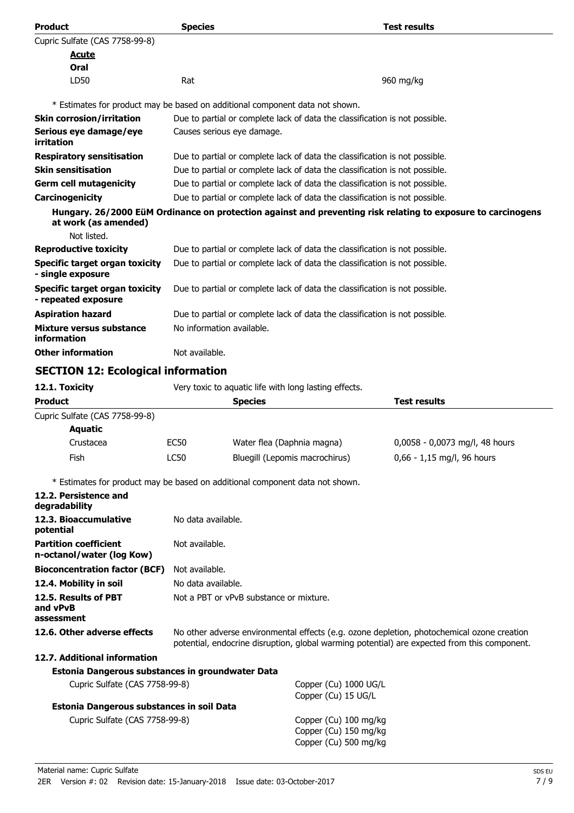| <b>Product</b>                                                               | <b>Species</b>                                                                                                                                                                             |                                                                              | <b>Test results</b>                                                                                          |
|------------------------------------------------------------------------------|--------------------------------------------------------------------------------------------------------------------------------------------------------------------------------------------|------------------------------------------------------------------------------|--------------------------------------------------------------------------------------------------------------|
| Cupric Sulfate (CAS 7758-99-8)                                               |                                                                                                                                                                                            |                                                                              |                                                                                                              |
| <u>Acute</u>                                                                 |                                                                                                                                                                                            |                                                                              |                                                                                                              |
| Oral                                                                         |                                                                                                                                                                                            |                                                                              |                                                                                                              |
| LD50                                                                         | Rat                                                                                                                                                                                        |                                                                              | 960 mg/kg                                                                                                    |
|                                                                              |                                                                                                                                                                                            | * Estimates for product may be based on additional component data not shown. |                                                                                                              |
| <b>Skin corrosion/irritation</b>                                             | Due to partial or complete lack of data the classification is not possible.                                                                                                                |                                                                              |                                                                                                              |
| Serious eye damage/eye                                                       |                                                                                                                                                                                            | Causes serious eye damage.                                                   |                                                                                                              |
| irritation                                                                   |                                                                                                                                                                                            |                                                                              |                                                                                                              |
| <b>Respiratory sensitisation</b>                                             |                                                                                                                                                                                            | Due to partial or complete lack of data the classification is not possible.  |                                                                                                              |
| <b>Skin sensitisation</b>                                                    |                                                                                                                                                                                            | Due to partial or complete lack of data the classification is not possible.  |                                                                                                              |
| <b>Germ cell mutagenicity</b>                                                |                                                                                                                                                                                            | Due to partial or complete lack of data the classification is not possible.  |                                                                                                              |
| Carcinogenicity                                                              |                                                                                                                                                                                            | Due to partial or complete lack of data the classification is not possible.  |                                                                                                              |
| at work (as amended)<br>Not listed.                                          |                                                                                                                                                                                            |                                                                              | Hungary. 26/2000 EüM Ordinance on protection against and preventing risk relating to exposure to carcinogens |
| <b>Reproductive toxicity</b>                                                 |                                                                                                                                                                                            | Due to partial or complete lack of data the classification is not possible.  |                                                                                                              |
| <b>Specific target organ toxicity</b>                                        |                                                                                                                                                                                            | Due to partial or complete lack of data the classification is not possible.  |                                                                                                              |
| - single exposure                                                            |                                                                                                                                                                                            |                                                                              |                                                                                                              |
| <b>Specific target organ toxicity</b><br>- repeated exposure                 |                                                                                                                                                                                            | Due to partial or complete lack of data the classification is not possible.  |                                                                                                              |
| <b>Aspiration hazard</b>                                                     |                                                                                                                                                                                            | Due to partial or complete lack of data the classification is not possible.  |                                                                                                              |
| Mixture versus substance<br>information                                      | No information available.                                                                                                                                                                  |                                                                              |                                                                                                              |
| <b>Other information</b>                                                     | Not available.                                                                                                                                                                             |                                                                              |                                                                                                              |
| <b>SECTION 12: Ecological information</b>                                    |                                                                                                                                                                                            |                                                                              |                                                                                                              |
| 12.1. Toxicity                                                               |                                                                                                                                                                                            | Very toxic to aquatic life with long lasting effects.                        |                                                                                                              |
| <b>Product</b>                                                               |                                                                                                                                                                                            | <b>Species</b>                                                               | <b>Test results</b>                                                                                          |
| Cupric Sulfate (CAS 7758-99-8)                                               |                                                                                                                                                                                            |                                                                              |                                                                                                              |
| <b>Aquatic</b>                                                               |                                                                                                                                                                                            |                                                                              |                                                                                                              |
| Crustacea                                                                    | <b>EC50</b>                                                                                                                                                                                | Water flea (Daphnia magna)                                                   | 0,0058 - 0,0073 mg/l, 48 hours                                                                               |
| Fish                                                                         | LC50                                                                                                                                                                                       | Bluegill (Lepomis macrochirus)                                               | 0,66 - 1,15 mg/l, 96 hours                                                                                   |
| * Estimates for product may be based on additional component data not shown. |                                                                                                                                                                                            |                                                                              |                                                                                                              |
| 12.2. Persistence and<br>degradability                                       |                                                                                                                                                                                            |                                                                              |                                                                                                              |
| 12.3. Bioaccumulative<br>potential                                           | No data available.                                                                                                                                                                         |                                                                              |                                                                                                              |
| <b>Partition coefficient</b><br>n-octanol/water (log Kow)                    | Not available.                                                                                                                                                                             |                                                                              |                                                                                                              |
| <b>Bioconcentration factor (BCF)</b>                                         | Not available.                                                                                                                                                                             |                                                                              |                                                                                                              |
| 12.4. Mobility in soil                                                       | No data available.                                                                                                                                                                         |                                                                              |                                                                                                              |
| 12.5. Results of PBT<br>and vPvB                                             |                                                                                                                                                                                            | Not a PBT or yPvB substance or mixture.                                      |                                                                                                              |
| assessment                                                                   |                                                                                                                                                                                            |                                                                              |                                                                                                              |
| 12.6. Other adverse effects                                                  | No other adverse environmental effects (e.g. ozone depletion, photochemical ozone creation<br>potential, endocrine disruption, global warming potential) are expected from this component. |                                                                              |                                                                                                              |
| 12.7. Additional information                                                 |                                                                                                                                                                                            |                                                                              |                                                                                                              |
| Estonia Dangerous substances in groundwater Data                             |                                                                                                                                                                                            |                                                                              |                                                                                                              |
| Cupric Sulfate (CAS 7758-99-8)                                               |                                                                                                                                                                                            | Copper (Cu) 1000 UG/L<br>Copper (Cu) 15 UG/L                                 |                                                                                                              |
| Estonia Dangerous substances in soil Data                                    |                                                                                                                                                                                            |                                                                              |                                                                                                              |
| Cupric Sulfate (CAS 7758-99-8)                                               |                                                                                                                                                                                            | Copper (Cu) 100 mg/kg<br>Copper (Cu) 150 mg/kg<br>Copper (Cu) 500 mg/kg      |                                                                                                              |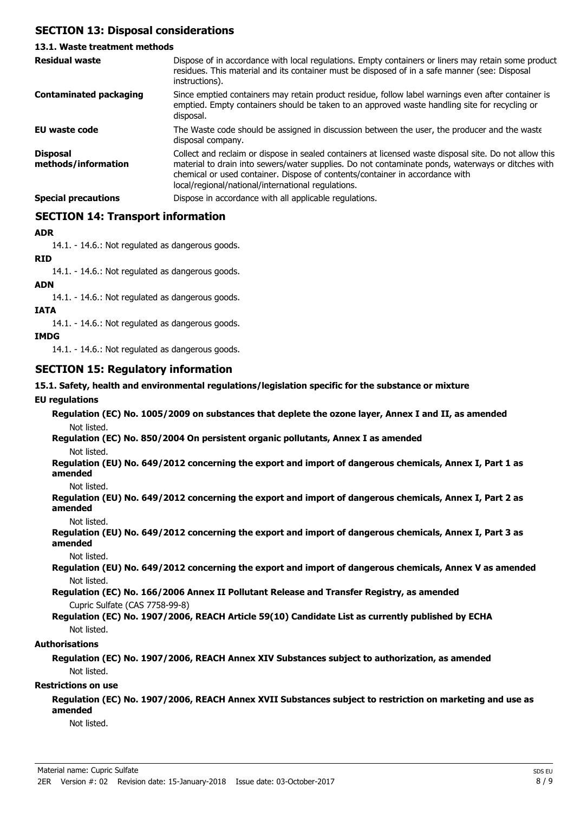## **SECTION 13: Disposal considerations**

#### **13.1. Waste treatment methods** Dispose of in accordance with local regulations. Empty containers or liners may retain some product residues. This material and its container must be disposed of in a safe manner (see: Disposal instructions). **Residual waste** Since emptied containers may retain product residue, follow label warnings even after container is emptied. Empty containers should be taken to an approved waste handling site for recycling or disposal. **Contaminated packaging EU waste code** The Waste code should be assigned in discussion between the user, the producer and the waste disposal company. Collect and reclaim or dispose in sealed containers at licensed waste disposal site. Do not allow this material to drain into sewers/water supplies. Do not contaminate ponds, waterways or ditches with chemical or used container. Dispose of contents/container in accordance with local/regional/national/international regulations. **Disposal methods/information Special precautions Dispose in accordance with all applicable regulations.**

**SECTION 14: Transport information**

**ADR**

14.1. - 14.6.: Not regulated as dangerous goods.

#### **RID**

14.1. - 14.6.: Not regulated as dangerous goods.

#### **ADN**

14.1. - 14.6.: Not regulated as dangerous goods.

#### **IATA**

14.1. - 14.6.: Not regulated as dangerous goods.

#### **IMDG**

14.1. - 14.6.: Not regulated as dangerous goods.

## **SECTION 15: Regulatory information**

**15.1. Safety, health and environmental regulations/legislation specific for the substance or mixture**

#### **EU regulations**

**Regulation (EC) No. 1005/2009 on substances that deplete the ozone layer, Annex I and II, as amended** Not listed.

**Regulation (EC) No. 850/2004 On persistent organic pollutants, Annex I as amended**

#### Not listed.

**Regulation (EU) No. 649/2012 concerning the export and import of dangerous chemicals, Annex I, Part 1 as amended**

#### Not listed.

**Regulation (EU) No. 649/2012 concerning the export and import of dangerous chemicals, Annex I, Part 2 as amended**

#### Not listed.

**Regulation (EU) No. 649/2012 concerning the export and import of dangerous chemicals, Annex I, Part 3 as amended**

Not listed.

**Regulation (EU) No. 649/2012 concerning the export and import of dangerous chemicals, Annex V as amended** Not listed.

**Regulation (EC) No. 166/2006 Annex II Pollutant Release and Transfer Registry, as amended** Cupric Sulfate (CAS 7758-99-8)

**Regulation (EC) No. 1907/2006, REACH Article 59(10) Candidate List as currently published by ECHA** Not listed.

#### **Authorisations**

**Regulation (EC) No. 1907/2006, REACH Annex XIV Substances subject to authorization, as amended** Not listed.

#### **Restrictions on use**

**Regulation (EC) No. 1907/2006, REACH Annex XVII Substances subject to restriction on marketing and use as amended**

Not listed.